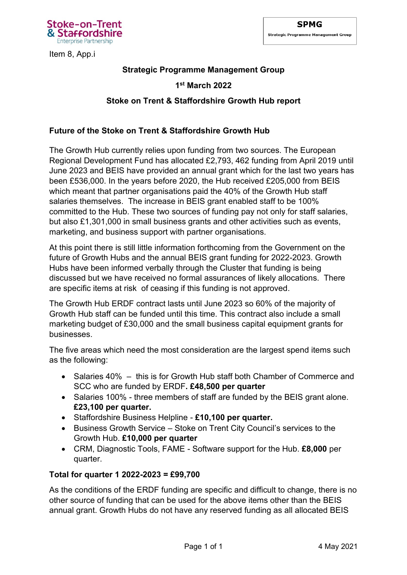

Item 8, App.i

# **Strategic Programme Management Group**

## **1 st March 2022**

## **Stoke on Trent & Staffordshire Growth Hub report**

### **Future of the Stoke on Trent & Staffordshire Growth Hub**

The Growth Hub currently relies upon funding from two sources. The European Regional Development Fund has allocated £2,793, 462 funding from April 2019 until June 2023 and BEIS have provided an annual grant which for the last two years has been £536,000. In the years before 2020, the Hub received £205,000 from BEIS which meant that partner organisations paid the 40% of the Growth Hub staff salaries themselves. The increase in BEIS grant enabled staff to be 100% committed to the Hub. These two sources of funding pay not only for staff salaries, but also £1,301,000 in small business grants and other activities such as events, marketing, and business support with partner organisations.

At this point there is still little information forthcoming from the Government on the future of Growth Hubs and the annual BEIS grant funding for 2022-2023. Growth Hubs have been informed verbally through the Cluster that funding is being discussed but we have received no formal assurances of likely allocations. There are specific items at risk of ceasing if this funding is not approved.

The Growth Hub ERDF contract lasts until June 2023 so 60% of the majority of Growth Hub staff can be funded until this time. This contract also include a small marketing budget of £30,000 and the small business capital equipment grants for businesses.

The five areas which need the most consideration are the largest spend items such as the following:

- Salaries 40% this is for Growth Hub staff both Chamber of Commerce and SCC who are funded by ERDF**. £48,500 per quarter**
- Salaries 100% three members of staff are funded by the BEIS grant alone. **£23,100 per quarter.**
- Staffordshire Business Helpline **£10,100 per quarter.**
- Business Growth Service Stoke on Trent City Council's services to the Growth Hub. **£10,000 per quarter**
- CRM, Diagnostic Tools, FAME Software support for the Hub. **£8,000** per quarter.

#### **Total for quarter 1 2022-2023 = £99,700**

As the conditions of the ERDF funding are specific and difficult to change, there is no other source of funding that can be used for the above items other than the BEIS annual grant. Growth Hubs do not have any reserved funding as all allocated BEIS